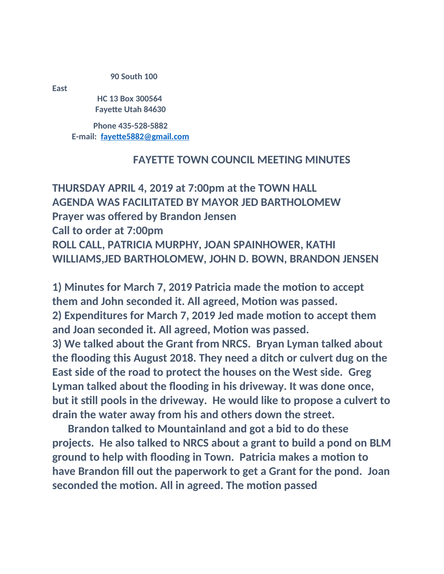## **90 South 100**

**East**

 **HC 13 Box 300564 Fayette Utah 84630**

**Phone 435-528-5882 E-mail: [fayette5882@gmail.com](mailto:fayette5882@gmail.com)**

## **FAYETTE TOWN COUNCIL MEETING MINUTES**

**THURSDAY APRIL 4, 2019 at 7:00pm at the TOWN HALL AGENDA WAS FACILITATED BY MAYOR JED BARTHOLOMEW Prayer was offered by Brandon Jensen Call to order at 7:00pm ROLL CALL, PATRICIA MURPHY, JOAN SPAINHOWER, KATHI WILLIAMS,JED BARTHOLOMEW, JOHN D. BOWN, BRANDON JENSEN**

**1) Minutes for March 7, 2019 Patricia made the motion to accept them and John seconded it. All agreed, Motion was passed. 2) Expenditures for March 7, 2019 Jed made motion to accept them and Joan seconded it. All agreed, Motion was passed. 3) We talked about the Grant from NRCS. Bryan Lyman talked about the flooding this August 2018. They need a ditch or culvert dug on the East side of the road to protect the houses on the West side. Greg Lyman talked about the flooding in his driveway. It was done once, but it still pools in the driveway. He would like to propose a culvert to drain the water away from his and others down the street.**

 **Brandon talked to Mountainland and got a bid to do these projects. He also talked to NRCS about a grant to build a pond on BLM ground to help with flooding in Town. Patricia makes a motion to have Brandon fill out the paperwork to get a Grant for the pond. Joan seconded the motion. All in agreed. The motion passed**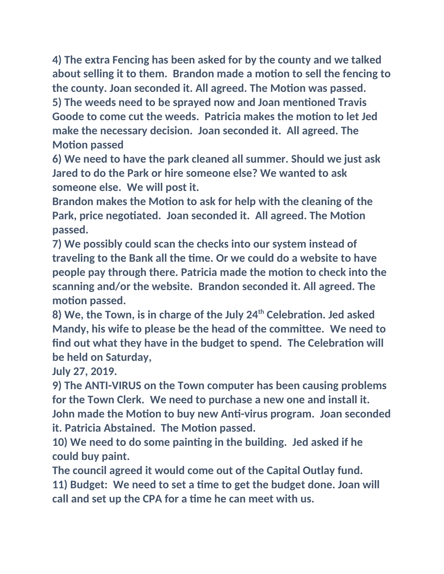**4) The extra Fencing has been asked for by the county and we talked about selling it to them. Brandon made a motion to sell the fencing to the county. Joan seconded it. All agreed. The Motion was passed. 5) The weeds need to be sprayed now and Joan mentioned Travis** 

**Goode to come cut the weeds. Patricia makes the motion to let Jed make the necessary decision. Joan seconded it. All agreed. The Motion passed**

**6) We need to have the park cleaned all summer. Should we just ask Jared to do the Park or hire someone else? We wanted to ask someone else. We will post it.**

**Brandon makes the Motion to ask for help with the cleaning of the Park, price negotiated. Joan seconded it. All agreed. The Motion passed.**

**7) We possibly could scan the checks into our system instead of traveling to the Bank all the time. Or we could do a website to have people pay through there. Patricia made the motion to check into the scanning and/or the website. Brandon seconded it. All agreed. The motion passed.**

**8) We, the Town, is in charge of the July 24th Celebration. Jed asked Mandy, his wife to please be the head of the committee. We need to find out what they have in the budget to spend. The Celebration will be held on Saturday,**

**July 27, 2019.**

**9) The ANTI-VIRUS on the Town computer has been causing problems for the Town Clerk. We need to purchase a new one and install it. John made the Motion to buy new Anti-virus program. Joan seconded it. Patricia Abstained. The Motion passed.**

**10) We need to do some painting in the building. Jed asked if he could buy paint.**

**The council agreed it would come out of the Capital Outlay fund. 11) Budget: We need to set a time to get the budget done. Joan will call and set up the CPA for a time he can meet with us.**